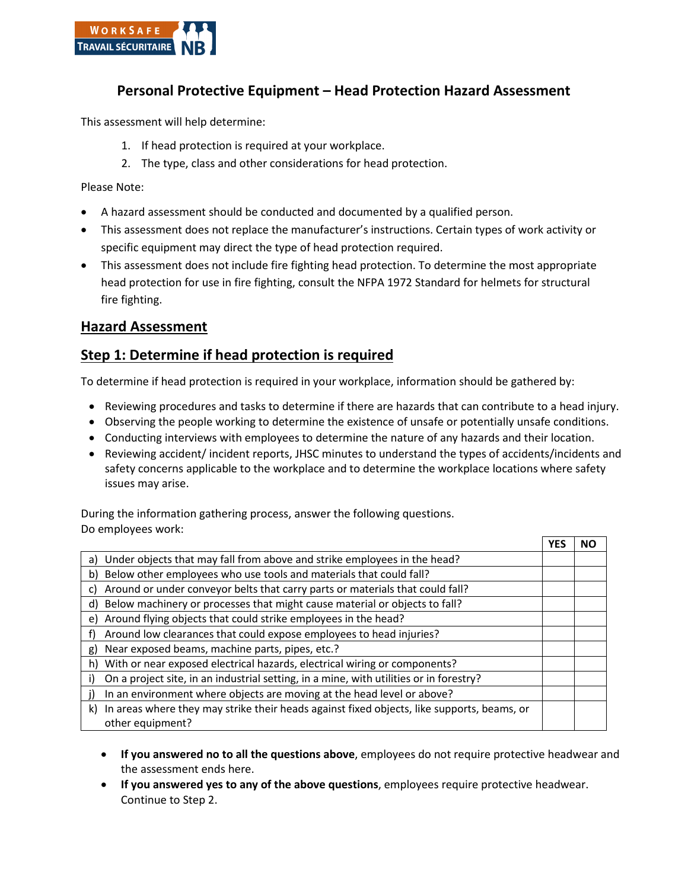

## **Personal Protective Equipment – Head Protection Hazard Assessment**

This assessment will help determine:

- 1. If head protection is required at your workplace.
- 2. The type, class and other considerations for head protection.

Please Note:

- A hazard assessment should be conducted and documented by a qualified person.
- This assessment does not replace the manufacturer's instructions. Certain types of work activity or specific equipment may direct the type of head protection required.
- This assessment does not include fire fighting head protection. To determine the most appropriate head protection for use in fire fighting, consult the NFPA 1972 Standard for helmets for structural fire fighting.

### **Hazard Assessment**

## **Step 1: Determine if head protection is required**

To determine if head protection is required in your workplace, information should be gathered by:

- Reviewing procedures and tasks to determine if there are hazards that can contribute to a head injury.
- Observing the people working to determine the existence of unsafe or potentially unsafe conditions.
- Conducting interviews with employees to determine the nature of any hazards and their location.
- Reviewing accident/ incident reports, JHSC minutes to understand the types of accidents/incidents and safety concerns applicable to the workplace and to determine the workplace locations where safety issues may arise.

During the information gathering process, answer the following questions. Do employees work:

|                                                                                                                   | NΟ |
|-------------------------------------------------------------------------------------------------------------------|----|
| a) Under objects that may fall from above and strike employees in the head?                                       |    |
| b) Below other employees who use tools and materials that could fall?                                             |    |
| Around or under conveyor belts that carry parts or materials that could fall?<br>C)                               |    |
| d) Below machinery or processes that might cause material or objects to fall?                                     |    |
| e) Around flying objects that could strike employees in the head?                                                 |    |
| Around low clearances that could expose employees to head injuries?                                               |    |
| Near exposed beams, machine parts, pipes, etc.?<br>g)                                                             |    |
| With or near exposed electrical hazards, electrical wiring or components?<br>h)                                   |    |
| On a project site, in an industrial setting, in a mine, with utilities or in forestry?                            |    |
| In an environment where objects are moving at the head level or above?                                            |    |
| k) In areas where they may strike their heads against fixed objects, like supports, beams, or<br>other equipment? |    |

- **If you answered no to all the questions above**, employees do not require protective headwear and the assessment ends here.
- **If you answered yes to any of the above questions**, employees require protective headwear. Continue to Step 2.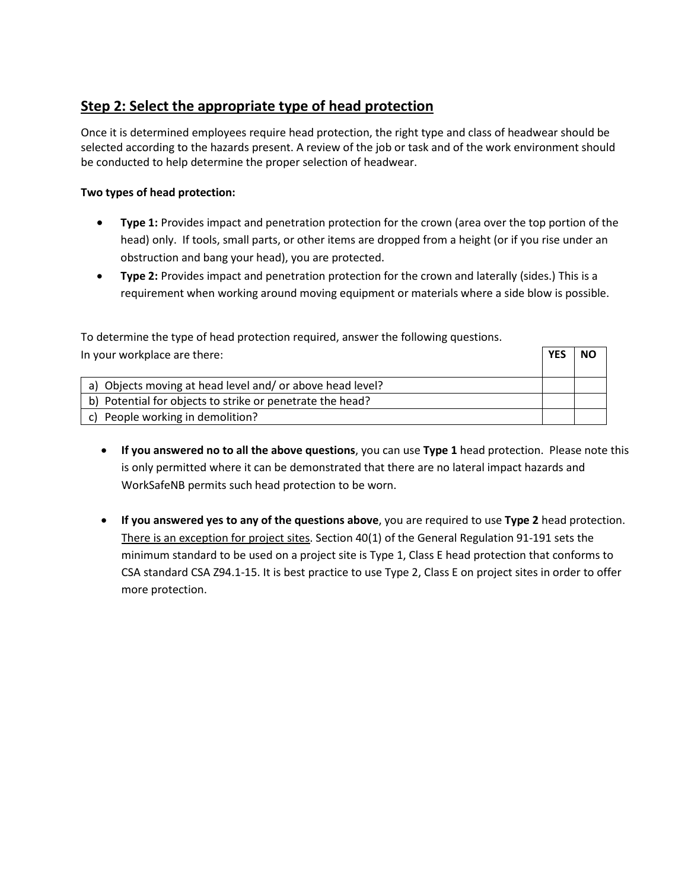# **Step 2: Select the appropriate type of head protection**

Once it is determined employees require head protection, the right type and class of headwear should be selected according to the hazards present. A review of the job or task and of the work environment should be conducted to help determine the proper selection of headwear.

#### **Two types of head protection:**

- **Type 1:** Provides impact and penetration protection for the crown (area over the top portion of the head) only. If tools, small parts, or other items are dropped from a height (or if you rise under an obstruction and bang your head), you are protected.
- **Type 2:** Provides impact and penetration protection for the crown and laterally (sides.) This is a requirement when working around moving equipment or materials where a side blow is possible.

| To determine the type of head protection required, answer the following questions. |  |           |
|------------------------------------------------------------------------------------|--|-----------|
| In your workplace are there:                                                       |  | <b>NO</b> |
|                                                                                    |  |           |
| a) Objects moving at head level and/or above head level?                           |  |           |
| b) Potential for objects to strike or penetrate the head?                          |  |           |
| c) People working in demolition?                                                   |  |           |

- **If you answered no to all the above questions**, you can use **Type 1** head protection. Please note this is only permitted where it can be demonstrated that there are no lateral impact hazards and WorkSafeNB permits such head protection to be worn.
- **If you answered yes to any of the questions above**, you are required to use **Type 2** head protection. There is an exception for project sites. Section 40(1) of the General Regulation 91-191 sets the minimum standard to be used on a project site is Type 1, Class E head protection that conforms to CSA standard CSA Z94.1-15. It is best practice to use Type 2, Class E on project sites in order to offer more protection.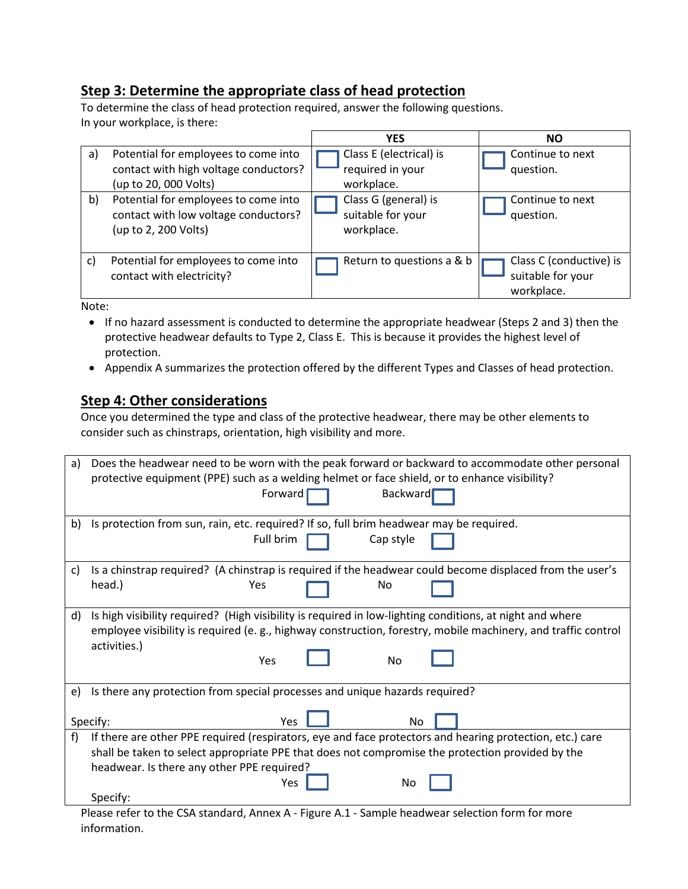# **Step 3: Determine the appropriate class of head protection**

To determine the class of head protection required, answer the following questions. In your workplace, is there:

|              |                                                                                                        | <b>YES</b>                                                | <b>NO</b>                                                  |
|--------------|--------------------------------------------------------------------------------------------------------|-----------------------------------------------------------|------------------------------------------------------------|
| a)           | Potential for employees to come into<br>contact with high voltage conductors?<br>(up to 20, 000 Volts) | Class E (electrical) is<br>required in your<br>workplace. | Continue to next<br>question.                              |
| b)           | Potential for employees to come into<br>contact with low voltage conductors?<br>(up to 2, 200 Volts)   | Class G (general) is<br>suitable for your<br>workplace.   | Continue to next<br>question.                              |
| $\mathbf{C}$ | Potential for employees to come into<br>contact with electricity?                                      | Return to questions a & b                                 | Class C (conductive) is<br>suitable for your<br>workplace. |

Note:

- If no hazard assessment is conducted to determine the appropriate headwear (Steps 2 and 3) then the protective headwear defaults to Type 2, Class E. This is because it provides the highest level of protection.
- Appendix A summarizes the protection offered by the different Types and Classes of head protection.

## **Step 4: Other considerations**

Once you determined the type and class of the protective headwear, there may be other elements to consider such as chinstraps, orientation, high visibility and more.

| a) | Does the headwear need to be worn with the peak forward or backward to accommodate other personal<br>protective equipment (PPE) such as a welding helmet or face shield, or to enhance visibility?                       |  |  |  |  |  |
|----|--------------------------------------------------------------------------------------------------------------------------------------------------------------------------------------------------------------------------|--|--|--|--|--|
|    | <b>Backward</b><br>Forward                                                                                                                                                                                               |  |  |  |  |  |
| b) | Is protection from sun, rain, etc. required? If so, full brim headwear may be required.                                                                                                                                  |  |  |  |  |  |
|    | Full brim<br>Cap style                                                                                                                                                                                                   |  |  |  |  |  |
| C) | Is a chinstrap required? (A chinstrap is required if the headwear could become displaced from the user's                                                                                                                 |  |  |  |  |  |
|    | head.)<br>Yes<br>No                                                                                                                                                                                                      |  |  |  |  |  |
| d) | Is high visibility required? (High visibility is required in low-lighting conditions, at night and where<br>employee visibility is required (e.g., highway construction, forestry, mobile machinery, and traffic control |  |  |  |  |  |
|    | activities.)                                                                                                                                                                                                             |  |  |  |  |  |
|    | Yes<br><b>No</b>                                                                                                                                                                                                         |  |  |  |  |  |
|    |                                                                                                                                                                                                                          |  |  |  |  |  |
| e) | Is there any protection from special processes and unique hazards required?                                                                                                                                              |  |  |  |  |  |
|    |                                                                                                                                                                                                                          |  |  |  |  |  |
|    | Specify:<br>Yes<br>No                                                                                                                                                                                                    |  |  |  |  |  |
| f) | If there are other PPE required (respirators, eye and face protectors and hearing protection, etc.) care                                                                                                                 |  |  |  |  |  |
|    | shall be taken to select appropriate PPE that does not compromise the protection provided by the                                                                                                                         |  |  |  |  |  |
|    | headwear. Is there any other PPE required?                                                                                                                                                                               |  |  |  |  |  |
|    | Yes<br>No                                                                                                                                                                                                                |  |  |  |  |  |
|    | Specify:                                                                                                                                                                                                                 |  |  |  |  |  |
|    | Blacke refer to the CSA standard Annex A. Figure A.1. Sample beadware selection form for more                                                                                                                            |  |  |  |  |  |

Please refer to the CSA standard, Annex A - Figure A.1 - Sample headwear selection form for more information.